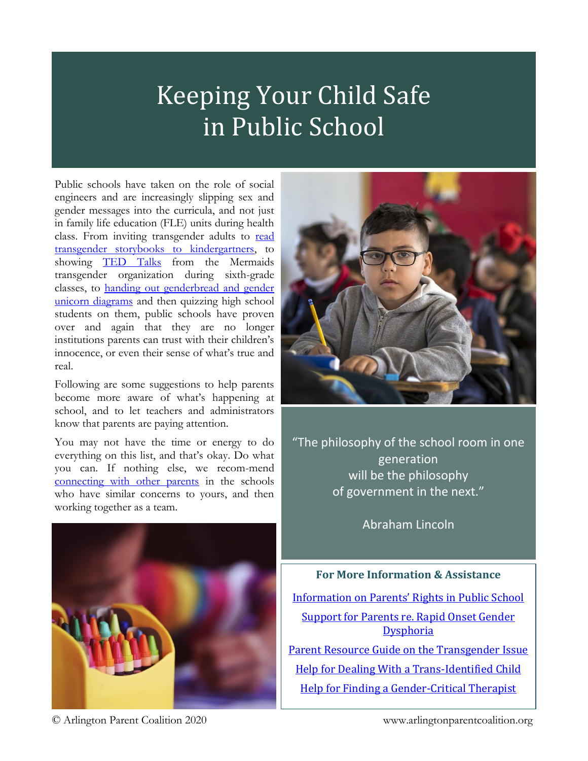## Keeping Your Child Safe in Public School

Public schools have taken on the role of social engineers and are increasingly slipping sex and gender messages into the curricula, and not just in family life education (FLE) units during health class. From inviting transgender adults to read [transgender storybooks to kindergartners,](https://thefederalist.com/2019/03/18/va-public-school-indoctrinates-5-year-olds-transgenderism-without-telling-parents/) to showing [TED Talks](https://www.youtube.com/watch?v=2ZiVPh12RQY&authuser=0) from the Mermaids transgender organization during sixth-grade classes, to [handing out genderbread and gender](https://arlingtonparentcoa.wixsite.com/arlingtonparentcoa/post/yes-they-taught-your-kids-this)  [unicorn diagrams](https://arlingtonparentcoa.wixsite.com/arlingtonparentcoa/post/yes-they-taught-your-kids-this) and then quizzing high school students on them, public schools have proven over and again that they are no longer institutions parents can trust with their children's innocence, or even their sense of what's true and real.

Following are some suggestions to help parents become more aware of what's happening at school, and to let teachers and administrators know that parents are paying attention.

You may not have the time or energy to do everything on this list, and that's okay. Do what you can. If nothing else, we recom-mend [connecting with other parents](mailto:arlingtonparentcoalition@gmail.com?subject=Requesting%20School-Specific%20Parent%20Connection) in the schools who have similar concerns to yours, and then working together as a team.





"The philosophy of the school room in one generation will be the philosophy of government in the next."

Abraham Lincoln

## **For More Information & Assistance**

[Information on Parents' Rights in Public School](http://www.truetolerance.org/) [Support for Parents re. Rapid Onset Gender](http://www.parentsofrogdkids.com/)  **[Dysphoria](http://www.parentsofrogdkids.com/)** [Parent Resource Guide on the Transgender Issue](https://www.mfc.org/request-the-parent-resource-guide)

[Help for Dealing With a Trans-Identified Child](https://arlingtonparentcoa.wixsite.com/arlingtonparentcoa/if-your-child-says-s-he-s-transgend) [Help for Finding a Gender-Critical Therapist](https://arlingtonparentcoa.wixsite.com/arlingtonparentcoa/finding-a-gender-critical-therapist)

© Arlington Parent Coalition 2020 1 www.arlingtonparentcoalition.org